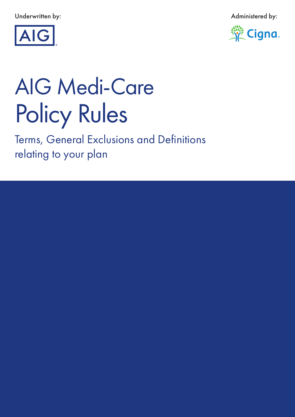Underwritten by: Administered by:





# Policy Rules AIG Medi-Care

Terms, General Exclusions and Definitions relating to your plan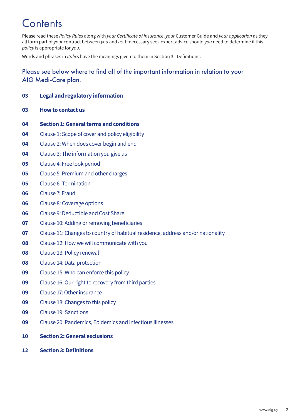# **Contents**

Please read these *Policy Rules* along with *your Certificate of Insurance*, *your* Customer Guide and *your application* as they all form part of *your* contract between *you* and *us*. If necessary seek expert advice should *you* need to determine if this *policy* is appropriate for *you*.

Words and phrases in *italics* have the meanings given to them in Section 3, 'Definitions'.

# Please see below where to find all of the important information in relation to your AIG Medi-Care plan.

#### **Legal and regulatory information**

- **How to contact us**
- **Section 1: General terms and conditions**
- Clause 1: Scope of cover and policy eligibility
- Clause 2: When does cover begin and end
- Clause 3: The information you give us
- Clause 4: Free look period
- Clause 5: Premium and other charges
- Clause 6: Termination
- Clause 7: Fraud
- Clause 8: Coverage options
- Clause 9: Deductible and Cost Share
- Clause 10: Adding or removing beneficiaries
- Clause 11: Changes to country of habitual residence, address and/or nationality
- Clause 12: How we will communicate with you
- Clause 13: Policy renewal
- Clause 14: Data protection
- Clause 15: Who can enforce this policy
- Clause 16: Our right to recovery from third parties
- Clause 17: Other insurance
- Clause 18: Changes to this policy
- Clause 19: Sanctions
- Clause 20. Pandemics, Epidemics and Infectious Illnesses
- **Section 2: General exclusions**
- **12 Section 3: Definitions**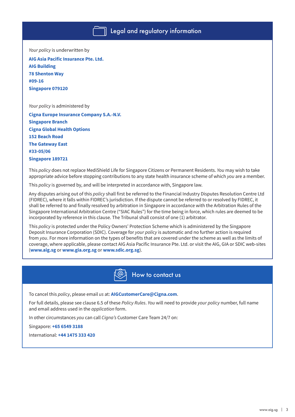*Your policy* is underwritten by **AIG Asia Pacific Insurance Pte. Ltd.**

**AIG Building 78 Shenton Way #09-16 Singapore 079120**

*Your policy* is administered by

**Cigna Europe Insurance Company S.A.-N.V. Singapore Branch Cigna Global Health Options 152 Beach Road The Gateway East #33-05/06 Singapore 189721**

This *policy* does not replace MediShield Life for Singapore Citizens or Permanent Residents. *You* may wish to take appropriate advice before stopping contributions to any state health insurance scheme of which *you* are a member.

This *policy* is governed by, and will be interpreted in accordance with, Singapore law.

Any disputes arising out of this *policy* shall first be referred to the Financial Industry Disputes Resolution Centre Ltd (FIDREC), where it falls within FIDREC's jurisdiction. If the dispute cannot be referred to or resolved by FIDREC, it shall be referred to and finally resolved by arbitration in Singapore in accordance with the Arbitration Rules of the Singapore International Arbitration Centre ("SIAC Rules") for the time being in force, which rules are deemed to be incorporated by reference in this clause. The Tribunal shall consist of one (1) arbitrator.

This *policy* is protected under the Policy Owners' Protection Scheme which is administered by the Singapore Deposit Insurance Corporation (SDIC). Coverage for *your policy* is automatic and no further action is required from *you*. For more information on the types of benefits that are covered under the scheme as well as the limits of coverage, where applicable, please contact AIG Asia Pacific Insurance Pte. Ltd. or visit the AIG, GIA or SDIC web-sites (**www.aig.sg** or **www.gia.org.sg** or **www.sdic.org.sg**).



To cancel this *policy*, please email *us* at: **AIGCustomerCare@Cigna.com**.

For full details, please see clause 6.5 of these *Policy Rules*. *You* will need to provide *your policy* number, full name and email address used in the *application* form.

In other circumstances *you* can call *Cigna's* Customer Care Team 24/7 on:

Singapore: **+65 6549 3188**

International: **+44 1475 333 420**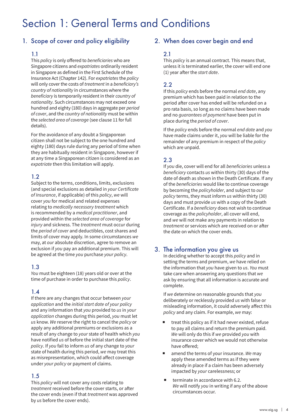# Section 1: General Terms and Conditions

# 1. Scope of cover and policy eligibility

#### 1.1

This *policy* is only offered to *beneficiaries* who are Singapore citizens and *expatriates* ordinarily resident in Singapore as defined in the First Schedule of the Insurance Act (Chapter 142). For *expatriates* the *policy* will only cover the costs of *treatment* in a *beneficiary's country of nationality* in circumstances where the *beneficiary* is temporarily resident in their *country of nationality*. Such circumstances may not exceed one hundred and eighty (180) days in aggregate per *period of cover*, and the *country of nationality* must be within the *selected area of coverage* (see clause 11 for full details).

For the avoidance of any doubt a Singaporean citizen shall not be subject to the one hundred and eighty (180) days rule during any period of time when they are habitually resident in Singapore, however if at any time a Singaporean citizen is considered as an *expatriate* then this limitation will apply.

#### 1.2

Subject to the terms, conditions, limits, exclusions (and special exclusions as detailed in *your Certificate of Insurance*, if applicable) of this *policy*, *we* will cover *you* for medical and related expenses relating to *medically necessary treatment* which is recommended by a *medical practitioner*, and provided within the *selected area of coverage* for *injury* and sickness. The *treatment* must occur during the *period of cover* and deductibles, cost shares and limits of cover may apply. In some circumstances *we* may, at *our* absolute discretion, agree to remove an exclusion if *you* pay an additional premium. This will be agreed at the time *you* purchase *your policy*.

#### 1.3

*You* must be eighteen (18) years old or over at the time of purchase in order to purchase this *policy*.

#### 1.4

If there are any changes that occur between *your application* and the *initial start date of your policy* and any information that *you* provided to *us* in *your application* changes during this period, *you* must let *us* know. *We* reserve the right to cancel the *policy* or apply any additional premiums or exclusions as a result of any change to *your* state of health which *you* have notified *us* of before the initial start date of the *policy*. If *you* fail to inform *us* of any change to *your* state of health during this period, *we* may treat this as misrepresentation, which could affect coverage under *your policy* or payment of claims.

#### 1.5

This *policy* will not cover any costs relating to *treatment* received before the cover starts, or after the cover ends (even if that *treatment* was approved by *us* before the cover ends).

#### 2. When does cover begin and end

#### 2.1

This *policy* is an annual contract. This means that, unless it is terminated earlier, the cover will end one (1) year after the *start date*.

#### 2.2

If this *policy* ends before the normal *end date*, any premium which has been paid in relation to the period after cover has ended will be refunded on a pro rata basis, so long as no claims have been made and no *guarantees of payment* have been put in place during the *period of cover*.

If the *policy* ends before the normal *end date* and *you* have made claims under it, *you* will be liable for the remainder of any premium in respect of the *policy* which are unpaid.

#### 2.3

If *you* die, cover will end for all *beneficiaries* unless a *beneficiary* contacts *us* within thirty (30) days of the date of death as shown in the Death Certificate. If any of the *beneficiaries* would like to continue coverage by becoming the *policyholder*, and subject to *our policy* terms, they must inform *us* within thirty (30) days and must provide *us* with a copy of the Death Certificate. If a *beneficiary* does not wish to continue coverage as the *policyholder*, all cover will end, and *we* will not make any payments in relation to *treatment* or services which are received on or after the date on which the cover ends.

## 3. The information you give us

In deciding whether to accept this *policy* and in setting the terms and premium, *we* have relied on the information that *you* have given to *us*. *You* must take care when answering any questions that *we* ask by ensuring that all information is accurate and complete.

If *we* determine on reasonable grounds that *you* deliberately or recklessly provided *us* with false or misleading information, it could adversely affect this *policy* and any claim. For example, *we* may:

- treat this policy as if it had never existed, refuse to pay all claims and return the premium paid. *We* will only do this if *we* provided *you* with insurance cover which we would not otherwise have offered;
- amend the terms of your insurance. *We* may apply these amended terms as if they were already in place if a claim has been adversely impacted by *your* carelessness; or
- terminate in accordance with 6.2. *We* will notify *you* in writing if any of the above circumstances occur.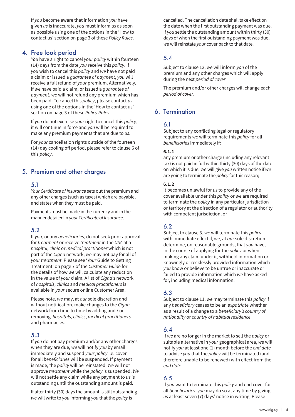If *you* become aware that information *you* have given *us* is inaccurate, *you* must inform *us* as soon as possible using one of the options in the 'How to contact us' section on page 3 of these *Policy Rules*.

#### 4. Free look period

*You* have a right to cancel *your policy* within fourteen (14) days from the date *you* receive this *policy*. If *you* wish to cancel this *policy* and *we* have not paid a claim or issued a *guarantee of payment*, *you* will receive a full refund of *your* premium. Alternatively, if *we* have paid a claim, or issued a *guarantee of payment*, *we* will not refund any premium which has been paid. To cancel this *policy*, please contact *us* using one of the options in the 'How to contact us' section on page 3 of these *Policy Rules*.

If *you* do not exercise *your* right to cancel this *policy*, it will continue in force and *you* will be required to make any premium payments that are due to *us*.

For *your* cancellation rights outside of the fourteen (14) day cooling off period, please refer to clause 6 of this *policy*.

# 5. Premium and other charges

#### 5.1

*Your Certificate of Insurance* sets out the premium and any other charges (such as taxes) which are payable, and states when they must be paid.

Payments must be made in the currency and in the manner detailed in *your Certificate of Insurance*.

#### 5.2

If *you*, or any *beneficiaries*, do not seek prior approval for *treatment* or receive *treatment* in the *USA* at a *hospital*, *clinic* or *medical practitioner* which is not part of the *Cigna* network, *we* may not pay for all of *your treatment*. Please see '*Your* Guide to Getting Treatment' on page 7 of the *Customer Guide* for the details of how *we* will calculate any reduction in the value of *your* claim. A list of *Cigna*'s network of *hospitals*, *clinics* and *medical practitioners* is available in *your* secure online Customer Area.

Please note, *we* may, at *our* sole discretion and without notification, make changes to the *Cigna* network from time to time by adding and / or removing *hospitals*, *clinics*, *medical practitioners* and pharmacies.

#### 5.3

If *you* do not pay premium and/or any other charges when they are due, *we* will notify *you* by email immediately and suspend *your policy* i.e. cover for all *beneficiaries* will be suspended. If payment is made, the *policy* will be reinstated. *We* will not approve *treatment* while the *policy* is suspended. *We* will not settle any claim while any payment to *us* is outstanding until the outstanding amount is paid.

If after thirty (30) days the amount is still outstanding, *we* will write to *you* informing *you* that the *policy* is

cancelled. The cancellation date shall take effect on the date when the first outstanding payment was due. If *you* settle the outstanding amount within thirty (30) days of when the first outstanding payment was due, *we* will reinstate *your* cover back to that date.

# 5.4

Subject to clause 13, *we* will inform *you* of the premium and any other charges which will apply during the next *period of cover*.

The premium and/or other charges will change each *period of cover*.

## 6. Termination

#### 6.1

Subject to any conflicting legal or regulatory requirements *we* will terminate this *policy* for all *beneficiaries* immediately if:

#### **6.1.1**

any premium or other charge (including any relevant tax) is not paid in full within thirty (30) days of the date on which it is due. *We* will give *you* written notice if *we* are going to terminate the *policy* for this reason;

#### **6.1.2**

it becomes unlawful for *us* to provide any of the cover available under this *policy* or *we* are required to terminate the *policy* in any particular jurisdiction or territory at the direction of a regulator or authority with competent jurisdiction; or

## 6.2

Subject to clause 3, *we* will terminate this *policy* with immediate effect if, *we*, at *our* sole discretion determine, on reasonable grounds, that *you* have, in the course of applying for the *policy* or when making any claim under it, withheld information or knowingly or recklessly provided information which *you* know or believe to be untrue or inaccurate or failed to provide information which *we* have asked for, including medical information.

#### 6.3

Subject to clause 11, *we* may terminate this *policy* if any *beneficiary* ceases to be an *expatriate* whether as a result of a change to a *beneficiary's country of nationality* or *country of habitual residence*.

#### 6.4

If *we* are no longer in the market to sell the *policy* or suitable alternative in *your* geographical area, *we* will notify *you* at least one (1) month before the *end date*  to advise *you* that the *policy* will be terminated (and therefore unable to be renewed) with effect from the *end date*.

#### 6.5

If *you* want to terminate this *policy* and end cover for all *beneficiaries*, *you* may do so at any time by giving *us* at least seven (7) days' notice in writing. Please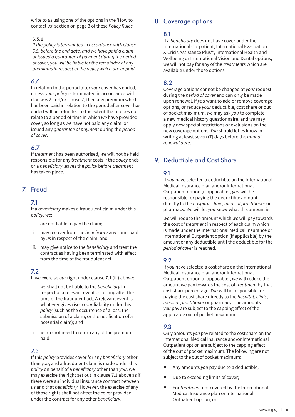write to *us* using one of the options in the 'How to contact *us*' section on page 3 of these *Policy Rules*.

#### **6.5.1**

*If the policy is terminated in accordance with clause 6.5, before the end date, and we have paid a claim or issued a guarantee of payment during the period of cover, you will be liable for the remainder of any premiums in respect of the policy which are unpaid.* 

#### 6.6

In relation to the period after *your* cover has ended, unless *your policy* is terminated in accordance with clause 6.2 and/or clause 7, then any premium which has been paid in relation to the period after cover has ended will be refunded to the extent that it does not relate to a period of time in which *we* have provided cover, so long as *we* have not paid any claim, or issued any *guarantee of payment* during the *period of cover*.

## 6.7

If *treatment* has been authorised, *we* will not be held responsible for any *treatment* costs if the *policy* ends or a *beneficiary* leaves the *policy* before *treatment* has taken place.

# 7. Fraud

#### 7.1

If a *beneficiary* makes a fraudulent claim under this *policy*, *we*:

- i. are not liable to pay the claim;
- ii. may recover from the *beneficiary* any sums paid by *us* in respect of the claim; and
- iii. may give notice to the *beneficiary* and treat the contract as having been terminated with effect from the time of the fraudulent act.

#### 7.2

If *we* exercise *our* right under clause 7.1 (iii) above:

- i. *we* shall not be liable to the *beneficiary* in respect of a relevant event occurring after the time of the fraudulent act. A relevant event is whatever gives rise to *our* liability under this *policy* (such as the occurrence of a loss, the submission of a claim, or the notification of a potential claim); and
- ii. *we* do not need to return any of the premium paid.

#### 7.3

If this *policy* provides cover for any *beneficiary* other than *you*, and a fraudulent claim is made under this *policy* on behalf of a *beneficiary* other than *you*, we may exercise the right set out in clause 7.1 above as if there were an individual insurance contract between *us* and that *beneficiary*. However, the exercise of any of those rights shall not affect the cover provided under the contract for any other *beneficiary*.

# 8. Coverage options

#### 8.1

If a *beneficiary* does not have cover under the International Outpatient, International Evacuation & Crisis Assistance Plus™, International Health and Wellbeing or International Vision and Dental options, *we* will not pay for any of the *treatments* which are available under those options.

#### 8.2

Coverage options cannot be changed at *your* request during the *period of cover* and can only be made upon renewal. If *you* want to add or remove coverage options, or reduce *your* deductible, cost share or out of pocket maximum, *we* may ask *you* to complete a new medical history questionnaire, and *we* may apply new special restrictions or exclusions on the new coverage options. *You* should let *us* know in writing at least seven (7) days before the *annual renewal date*.

# 9. Deductible and Cost Share

#### 9.1

If *you* have selected a deductible on the International Medical Insurance plan and/or International Outpatient option (if applicable), *you* will be responsible for paying the deductible amount directly to the *hospital*, *clinic*, *medical practitioner* or pharmacy. *We* will let *you* know what this amount is.

*We* will reduce the amount which *we* will pay towards the cost of *treatment* in respect of each claim which is made under the International Medical Insurance or International Outpatient option (if applicable) by the amount of any deductible until the deductible for the *period of cover* is reached.

## 9.2

If *you* have selected a cost share on the International Medical Insurance plan and/or International Outpatient option (if applicable), *we* will reduce the amount *we* pay towards the cost of *treatment* by that cost share percentage. *You* will be responsible for paying the cost share directly to the *hospital*, *clinic*, *medical practitioner* or pharmacy. The amounts *you* pay are subject to the capping effect of the applicable out of pocket maximum.

## 9.3

Only amounts *you* pay related to the cost share on the International Medical Insurance and/or International Outpatient option are subject to the capping effect of the out of pocket maximum. The following are not subject to the out of pocket maximum:

- Any amounts *you* pay due to a deductible;
- Due to exceeding limits of cover;
- For *treatment* not covered by the International Medical Insurance plan or International Outpatient option; or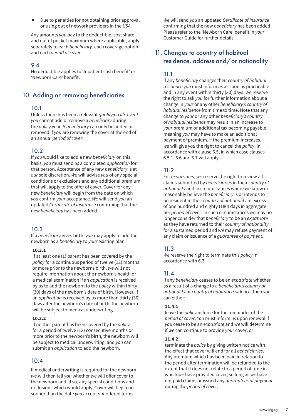Due to penalties for not obtaining prior approval or using out of network providers in the *USA*.

Any amounts *you* pay to the deductible, cost share and out of pocket maximum where applicable, apply separately to each *beneficiary*, each coverage option and each *period of cover*.

#### 9.4

No deductible applies to 'Inpatient cash benefit' or 'Newborn Care' benefit.

# 10. Adding or removing beneficiaries

#### 10.1

Unless there has been a relevant *qualifying life event*, *you* cannot add or remove a *beneficiary* during the *policy* year. A *beneficiary* can only be added or removed if *you* are renewing the cover at the end of an annual *period of cover*.

## 10.2

If *you* would like to add a new *beneficiary* on this basis, *you* must send *us* a completed *application* for that person. Acceptance of any new *beneficiary* is at *our* sole discretion. *We* will advise *you* of any special conditions or exclusions and any additional premium that will apply to the offer of cover. Cover for any new *beneficiary* will begin from the date on which *you* confirm *your* acceptance. *We* will send *you* an updated *Certificate of Insurance* confirming that the new *beneficiary* has been added.

## 10.3

If a *beneficiary* gives birth, *you* may apply to add the newborn as a *beneficiary* to *your* existing plan.

#### **10.3.1**

If at least one (1) parent has been covered by the *policy* for a continuous period of twelve (12) months or more prior to the newborns birth, *we* will not require information about the newborn's health or a medical examination if an *application* is received by *us* to add the newborn to the *policy* within thirty (30) days of the newborn's date of birth. However, if an *application* is received by *us* more than thirty (30) days after the newborn's date of birth, the newborn will be subject to medical underwriting.

#### **10.3.2**

If neither parent has been covered by the *policy* for a period of twelve (12) consecutive months or more prior to the newborn's birth, the newborn will be subject to medical underwriting, and *you* can submit an *application* to add the newborn.

## 10.4

If medical underwriting is required for the newborn, *we* will then tell *you* whether *we* will offer cover to the newborn and, if so, any special conditions and exclusions which would apply. Cover will begin no sooner than the date *you* accept *our* offered terms.

*We* will send *you* an updated *Certificate of Insurance* confirming that the new *beneficiary* has been added. Please refer to the 'Newborn Care' benefit in *your* Customer Guide for further details.

# 11. Changes to country of habitual residence, address and/or nationality

## 11.1

If any *beneficiary* changes their *country of habitual residence you* must inform *us* as soon as practicable and in any event within thirty (30) days. *We* reserve the right to ask *you* for further information about a change in *your* or any other *beneficiary's country of habitual residence* from time to time. Note that any change to *your* or any other *beneficiary's country of habitual residence* may result in an increase to *your* premium or additional tax becoming payable, meaning *you* may have to make an additional payment of premium. If the premium increases, *we* will give *you* the right to cancel the *policy*, in accordance with clause 6.5, in which case clauses 6.5.1, 6.6 and 6.7 will apply.

# 11.2

For *expatriates*, *we* reserve the right to review all claims submitted by *beneficiaries* in their *country of nationality* and in circumstances where *we* know or reasonably believe the *beneficiary* is or intends to be resident in their *country of nationality* in excess of one hundred and eighty (180) days in aggregate per *period of cover*. In such circumstances *we* may no longer consider that *beneficiary* to be an *expatriate* as they have returned to their *country of nationality* for a sustained period and *we* may refuse payment of any claim or issuance of a *guarantee of payment*.

## 11.3

*We* reserve the right to terminate this *policy* in accordance with 6.3.

## 11.4

If any *beneficiary* ceases to be an *expatriate* whether as a result of a change to a *beneficiary's country of nationality* or *country of habitual residence*, then *you* can either:

#### **11.4.1**

leave the *policy* in force for the remainder of the *period of cover*. *You* must inform *us* upon renewal if *you* cease to be an *expatriate* and *we* will determine if *we* can continue to provide *your* cover; or

#### **11.4.2**

terminate the *policy* by giving written notice with the effect that cover will end for all *beneficiaries*. Any premium which has been paid in relation to the period after termination will be refunded to the extent that it does not relate to a period of time in which *we* have provided cover, so long as *we* have not paid claims or issued any *guarantees of payment* during the *period of cover*.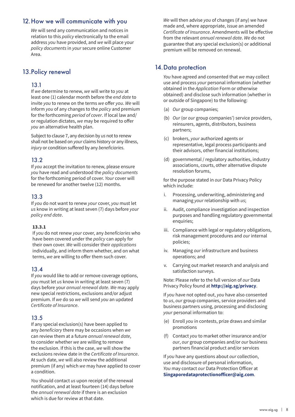## 12.How we will communicate with you

*We* will send any communication and notices in relation to this *policy* electronically to the email address *you* have provided, and *we* will place your *policy documents* in *your* secure online Customer Area.

# 13.Policy renewal

#### 13.1

If *we* determine to renew, *we* will write to *you* at least one (1) calendar month before the *end date* to invite *you* to renew on the terms *we* offer *you*. *We* will inform *you* of any changes to the *policy* and premium for the forthcoming *period of cover*. If local law and/ or regulation dictates, *we* may be required to offer *you* an alternative health plan.

Subject to clause 7, any decision by *us* not to renew shall not be based on *your* claims history or any illness, *injury* or condition suffered by any *beneficiaries*.

#### 13.2

If *you* accept the invitation to renew, please ensure *you* have read and understood the *policy documents* for the forthcoming period of cover. *Your* cover will be renewed for another twelve (12) months.

#### 13.3

If *you* do not want to renew *your* cover, *you* must let *us* know in writing at least seven (7) days before *your policy end date*.

#### **13.3.1**

If *you* do not renew *your* cover, any *beneficiaries* who have been covered under the *policy* can apply for their own cover. *We* will consider their *applications* individually, and inform them whether, and on what terms, *we* are willing to offer them such cover.

#### 13.4

If *you* would like to add or remove coverage options, *you* must let *us* know in writing at least seven (7) days before your *annual renewal date*. *We* may apply new special restrictions, exclusions and/or adjust premium. If *we* do so *we* will send *you* an updated *Certificate of Insurance*.

## 13.5

If any special exclusion(s) have been applied to any *beneficiary* there may be occasions when *we* can review them at a future *annual renewal date*, to consider whether *we* are willing to remove the exclusion. If this is the case, *we* will show the exclusions review date in the *Certificate of Insurance*. At such date, *we* will also review the additional premium (if any) which *we* may have applied to cover a condition.

*You* should contact *us* upon receipt of the renewal notification, and at least fourteen (14) days before the *annual renewal date* if there is an exclusion which is due for review at that date.

*We* will then advise *you* of changes (if any) we have made and, where appropriate, issue an amended *Certificate of Insurance*. Amendments will be effective from the relevant *annual renewal date*. *We* do not guarantee that any special exclusion(s) or additional premium will be removed on renewal.

# 14. Data protection

*You* have agreed and consented that *we* may collect use and process *your* personal information (whether obtained in the *Application* Form or otherwise obtained) and disclose such information (whether in or outside of Singapore) to the following:

- (a) *Our* group companies;
- (b) *Our* (or *our* group companies') service providers, reinsurers, agents, distributors, business partners;
- (c) brokers, *your* authorized agents or representative, legal process participants and their advisors, other financial institutions;
- (d) governmental / regulatory authorities, industry associations, courts, other alternative dispute resolution forums,

for the purpose stated in *our* Data Privacy Policy which include:

- i. Processing, underwriting, administering and managing *your* relationship with *us*;
- ii. Audit, compliance investigation and inspection purposes and handling regulatory governmental enquiries;
- iii. Compliance with legal or regulatory obligations, risk management procedures and *our* internal policies;
- iv. Managing *our* infrastructure and business operations; and
- v. Carrying out market research and analysis and satisfaction surveys.

Note: Please refer to the full version of *our* Data Privacy Policy found at **http://aig.sg/privacy**.

If *you* have not opted out, *you* have also consented to *us*, *our* group companies, service providers and business partners using, processing and disclosing *your* personal information to:

- (e) Enroll *you* in contests, prize draws and similar promotions
- (f) Contact *you* to market other insurance and/or *our*, *our* group companies and/or *our* business partners financial product and/or services

If *you* have any questions about *our* collection, use and disclosure of personal information, *You* may contact *our* Data Protection Officer at **Singaporedataprotectionofficer@aig.com**.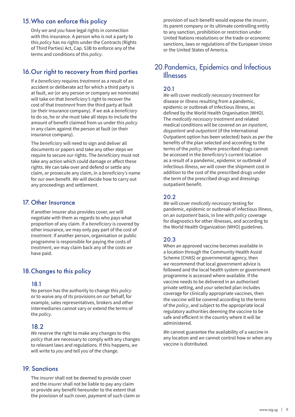# 15.Who can enforce this policy

Only *we* and *you* have legal rights in connection with this insurance. A person who is not a party to this *policy* has no rights under the Contracts (Rights of Third Parties) Act, Cap. 53B to enforce any of the terms and conditions of this *policy*.

# 16.Our right to recovery from third parties

If a *beneficiary* requires *treatment* as a result of an accident or deliberate act for which a third party is at fault, *we* (or any person or company *we* nominate) will take on that *beneficiary's* right to recover the cost of that *treatment* from the third party at fault (or their insurance company). If *we* ask a *beneficiary* to do so, he or she must take all steps to include the amount of benefit claimed from us under this *policy* in any claim against the person at fault (or their insurance company).

The *beneficiary* will need to sign and deliver all documents or papers and take any other steps *we* require to secure *our* rights. The *beneficiary* must not take any action which could damage or affect these rights. *We* can take over and defend or settle any claim, or prosecute any claim, in a *beneficiary's* name for *our* own benefit. *We* will decide how to carry out any proceedings and settlement.

## 17. Other Insurance

If another insurer also provides cover, *we* will negotiate with them as regards to who pays what proportion of any claim. If a *beneficiary* is covered by other insurance, *we* may only pay part of the cost of *treatment*. If another person, organisation or public programme is responsible for paying the costs of *treatment*, *we* may claim back any of the costs *we* have paid.

# 18.Changes to this policy

#### 18.1

No person has the authority to change this *policy* or to waive any of its provisions on *our* behalf, for example, sales representatives, brokers and other intermediaries cannot vary or extend the terms of the *policy*.

## 18.2

*We* reserve the right to make any changes to this *policy* that are necessary to comply with any changes to relevant laws and regulations. If this happens, *we* will write to *you* and tell *you* of the change.

## 19. Sanctions

The *insurer* shall not be deemed to provide cover and the *insurer* shall not be liable to pay any claim or provide any benefit hereunder to the extent that the provision of such cover, payment of such claim or provision of such benefit would expose the *insurer*, its parent company or its ultimate controlling entity to any sanction, prohibition or restriction under United Nations resolutions or the trade or economic sanctions, laws or regulations of the European Union or the United States of America.

# 20.Pandemics, Epidemics and Infectious Illnesses

#### 20.1

*We* will cover *medically necessary treatment* for disease or illness resulting from a pandemic, epidemic or outbreak of infectious illness, as defined by the World Health Organisation (WHO). The *medically necessary treatment* and related medical conditions will be covered on an *inpatient*, *daypatient* and *outpatient* (if the International Outpatient option has been selected) basis as per the benefits of the plan selected and according to the terms of the *policy*. Where prescribed drugs cannot be accessed in the *beneficiary's* current location as a result of a pandemic, epidemic or outbreak of infectious illness, *we* will cover the shipment cost in addition to the cost of the prescribed drugs under the term of the prescribed drugs and dressings outpatient benefit.

## 20.2

*We* will cover *medically necessary* testing for pandemic, epidemic or outbreak of infectious illness, on an *outpatient* basis, in line with *policy* coverage for diagnostics for other illnesses, and according to the World Health Organization (WHO) guidelines.

## 20.3

When an approved vaccine becomes available in a location through the Community Health Assist Scheme (CHAS) or governmental agency, then *we* recommend that local government advice is followed and the local health system or government programme is accessed where available. If the vaccine needs to be delivered in an authorised private setting, and *your* selected plan includes coverage for clinically appropriate vaccines, then the vaccine will be covered according to the terms of the *policy*, and subject to the appropriate local regulatory authorities deeming the vaccine to be safe and efficient in the country where it will be administered.

*We* cannot guarantee the availability of a vaccine in any location and *we* cannot control how or when any vaccine is distributed.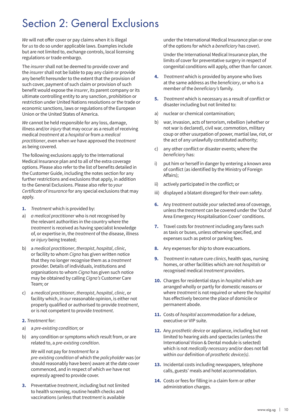# Section 2: General Exclusions

*We* will not offer cover or pay claims when it is illegal for *us* to do so under applicable laws. Examples include but are not limited to, exchange controls, local licensing regulations or trade embargo.

The *insurer* shall not be deemed to provide cover and the *insurer* shall not be liable to pay any claim or provide any benefit hereunder to the extent that the provision of such cover, payment of such claim or provision of such benefit would expose the *insurer*, its parent company or its ultimate controlling entity to any sanction, prohibition or restriction under United Nations resolutions or the trade or economic sanctions, laws or regulations of the European Union or the United States of America.

*We* cannot be held responsible for any loss, damage, illness and/or *injury* that may occur as a result of receiving medical *treatment* at a *hospital* or from a *medical practitioner*, even when *we* have approved the *treatment* as being covered.

The following exclusions apply to the International Medical Insurance plan and to all of the extra coverage options. Please also refer to the list of benefits detailed in the Customer Guide, including the notes section for any further restrictions and exclusions that apply, in addition to the General Exclusions. Please also refer to *your Certificate of Insurance* for any special exclusions that may apply.

- **1.** *Treatment* which is provided by:
- a) *a medical practitioner* who is not recognised by the relevant authorities in the country where the *treatment* is received as having specialist knowledge of, or expertise in, the *treatment* of the disease, illness or *injury* being treated;
- b) a *medical practitioner*, *therapist*, *hospital*, *clinic*, or facility to whom *Cigna* has given written notice that they no longer recognise them as a *treatment* provider. Details of individuals, institutions and organisations to whom *Cigna* has given such notice may be obtained by calling *Cigna's* Customer Care Team; or
- c) a *medical practitioner*, *therapist*, *hospital*, *clinic*, or facility which, in *our* reasonable opinion, is either not properly qualified or authorised to provide *treatment*, or is not competent to provide *treatment*.

#### **2.** *Treatment* for:

- a) a *pre-existing condition*; or
- b) any condition or symptoms which result from, or are related to, a *pre-existing condition*.

*We* will not pay for *treatment* for a

*pre-existing condition* of which the *policyholder* was (or should reasonably have been) aware at the date cover commenced, and in respect of which *we* have not expressly agreed to provide cover.

**3.** Preventative *treatment*, including but not limited to health screening, routine health checks and vaccinations (unless that *treatment* is available

under the International Medical Insurance plan or one of the options for which a *beneficiary* has cover).

Under the International Medical Insurance plan, the limits of cover for preventative surgery in respect of congenital conditions will apply, other than for cancer.

- **4.** *Treatment* which is provided by anyone who lives at the same address as the *beneficiary*, or who is a member of the *beneficiary's* family.
- **5.** *Treatment* which is necessary as a result of conflict or disaster including but not limited to:
- a) nuclear or chemical contamination;
- b) war, invasion, acts of terrorism, rebellion (whether or not war is declared), civil war, commotion, military coup or other usurpation of power, martial law, riot, or the act of any unlawfully constituted authority;
- c) any other conflict or disaster events; where the *beneficiary* has:
- i) put him or herself in danger by entering a known area of conflict (as identified by the Ministry of Foreign Affairs);
- ii) actively participated in the conflict; or
- iii) displayed a blatant disregard for their own safety.
- **6.** Any *treatment* outside *your* selected area of coverage, unless the *treatment* can be covered under the 'Out of Area Emergency Hospitalisation Cover' conditions.
- **7.** Travel costs for *treatment* including any fares such as taxis or buses, unless otherwise specified, and expenses such as petrol or parking fees.
- **8.** Any expenses for ship to shore evacuations.
- **9.** *Treatment* in nature cure *clinics*, health spas, nursing homes, or other facilities which are not *hospitals* or recognised medical *treatment* providers.
- **10.** Charges for residential stays in *hospital* which are arranged wholly or partly for domestic reasons or where *treatment* is not required or where the *hospital* has effectively become the place of domicile or permanent abode.
- **11.** Costs of *hospital* accommodation for a deluxe, executive or VIP suite.
- **12.** Any *prosthetic device* or appliance, including but not limited to hearing aids and spectacles (unless the International Vision & Dental module is selected) which is not *medically necessary* and/or does not fall within *our* definition of *prosthetic device(s)*.
- **13.** Incidental costs including newspapers, telephone calls, guests' meals and hotel accommodation.
- **14.** Costs or fees for filling in a claim form or other administration charges.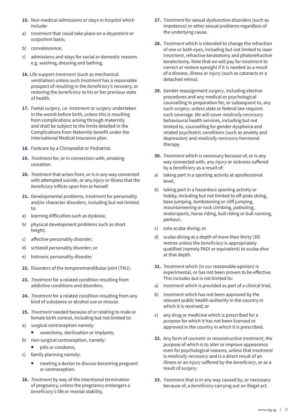- **15.** Non-medical admissions or stays in *hospital* which include:
- a) *treatment* that could take place on a *daypatient* or *outpatient* basis;
- b) convalescence;
- c) admissions and stays for social or domestic reasons e.g. washing, dressing and bathing.
- **16.** Life support *treatment* (such as mechanical ventilation) unless such *treatment* has a reasonable prospect of resulting in the *beneficiary's* recovery, or restoring the *beneficiary* to his or her previous state of health.
- **17.** Foetal *surgery*, i.e. *treatment* or *surgery* undertaken in the womb before birth, unless this is resulting from complications arising through maternity and shall be subject to the limits detailed in the Complications from Maternity benefit under the International Medical Insurance plan.
- **18.** Footcare by a Chiropodist or Podiatrist.
- **19.** *Treatment* for, or in connection with, smoking cessation.
- **20.** *Treatment* that arises from, or is in any way connected with attempted suicide, or any *injury* or illness that the *beneficiary* inflicts upon him or herself.
- **21.** Developmental problems, *treatment* for personality and/or character disorders, including but not limited to:
- a) learning difficulties such as dyslexia;
- b) physical development problems such as short height;
- c) affective personality disorder;
- d) schizoid personality disorder; or
- e) histronic personality disorder.
- **22.** Disorders of the temporomandibular joint (TMJ).
- **23.** *Treatment* for a related condition resulting from addictive conditions and disorders.
- **24.** *Treatment* for a related condition resulting from any kind of substance or alcohol use or misuse.
- **25.** *Treatment* needed because of or relating to male or female birth control, including but not limited to:
- a) surgical contraception namely:
	- vasectomy, sterilisation or implants;
- b) non-surgical contraception, namely:
	- pills or condoms;
- c) family planning namely:
	- meeting a doctor to discuss becoming pregnant or contraception.
- **26.** *Treatment* by way of the intentional termination of pregnancy, unless the pregnancy endangers a *beneficiary's* life or mental stability.
- **27.** *Treatment* for sexual dysfunction disorders (such as impotence) or other sexual problems regardless of the underlying cause.
- **28.** *Treatment* which is intended to change the refraction of one or both eyes, including but not limited to laser *treatment*, refractive keratotomy and photorefractive keratectomy. Note that *we* will pay for *treatment* to correct or restore eyesight if it is needed as a result of a disease, illness or *injury* (such as cataracts or a detached retina).
- **29.** Gender reassignment *surgery*, including elective procedures and any medical or psychological counselling in preparation for, or subsequent to, any such *surgery*, unless state or federal law requires such coverage. *We* will cover *medically necessary* behavioural health services, including but not limited to, counselling for gender dysphoria and related psychiatric conditions (such as anxiety and depression) and *medically necessary* hormonal therapy.
- **30.** *Treatment* which is necessary because of, or is any way connected with, any *injury* or sickness suffered by a *beneficiary* as a result of:
- a) taking part in a sporting activity at aprofessional level;
- b) taking part in a hazardous sporting activity or hobby, including but not limited to off-piste skiing, base jumping, tombstoning or cliff jumping, mountaineering or rock climbing, potholing, motorsports, horse riding, bull riding or bull running, parkour;
- c) solo scuba-diving; or
- d) scuba-diving at a depth of more than thirty (30) metres unless the *beneficiary* is appropriately qualified (namely PADI or equivalent) to scuba-dive at that depth.
- **31.** *Treatment* which (in *our* reasonable opinion) is experimental, or has not been proven to be effective. This includes but is not limited to:
- a) *treatment* which is provided as part of a clinical trial;
- b) *treatment* which has not been approved by the relevant public health authority in the country in which it is received; or
- c) any drug or medicine which is prescribed for a purpose for which it has not been licensed or approved in the country in which it is prescribed.
- **32.** Any form of *cosmetic* or reconstructive *treatment*, the purpose of which is to alter or improve appearance even for psychological reasons, unless that *treatment* is *medically necessary* and is a direct result of an illness or an *injury* suffered by the *beneficiary*, or as a result of *surgery*.
- **33.** *Treatment* that is in any way caused by, or necessary because of, a *beneficiary* carrying out an illegal act.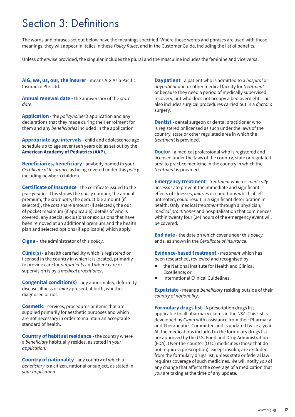# Section 3: Definitions

The words and phrases set out below have the meanings specified. Where those words and phrases are used with those meanings, they will appear in italics in these *Policy Rules*, and in the Customer Guide, including the list of benefits.

Unless otherwise provided, the singular includes the plural and the masculine includes the feminine and vice versa.

**AIG, we, us, our, the insurer** - means AIG Asia Pacific Insurance Pte. Ltd.

**Annual renewal date -** the anniversary of the *start date*.

**Application** - the *policyholder's* application and any declarations that they made during their enrolment for them and any *beneficiaries* included in the application.

**Appropriate age intervals** - child and adolescence age schedule up to age seventeen years old as set out by the **American Academy of Pediatrics (AAP)**.

**Beneficiaries, beneficiary** - anybody named in your *Certificate of Insurance* as being covered under this *policy*, including newborn children.

**Certificate of Insurance** - the certificate issued to the *policyholder*. This shows the *policy* number, the annual premium, the *start date*, the deductible amount (if selected), the cost share amount (if selected), the out of pocket maximum (if applicable), details of who is covered, any special exclusions or exclusions that have been removed at an additional premium and the health plan and selected options (if applicable) which apply.

**Cigna** - the administrator of this *policy*.

**Clinic(s)** - a health care facility which is registered or licensed in the country in which it is located, primarily to provide care for *outpatients* and where care or supervision is by a *medical practitioner*.

**Congenital condition(s)** - any abnormality, deformity, disease, illness or *injury* present at birth, whether diagnosed or not.

**Cosmetic** - services, procedures or items that are supplied primarily for aesthetic purposes and which are not necessary in order to maintain an acceptable standard of health.

**Country of habitual residence** - the country where a *beneficiary* habitually resides, as stated in *your application*.

**Country of nationality** - any country of which a *beneficiary* is a citizen, national or subject, as stated in *your application*.

**Daypatient** - a patient who is admitted to a *hospital* or *daypatient* unit or other medical facility for *treatment* or because they need a period of medically supervised recovery, but who does not occupy a bed overnight. This also includes surgical procedures carried out in a *doctor's* surgery.

**Dentist** - dental surgeon or dental practitioner who is registered or licensed as such under the laws of the country, state or other regulated area in which the *treatment* is provided.

**Doctor** - a medical professional who is registered and licensed under the laws of the country, state or regulated area to practice medicine in the country in which the *treatment* is provided.

**Emergency treatment** - *treatment* which is *medically necessary* to prevent the immediate and significant effects of illnesses, *injuries* or conditions which, if left untreated, could result in a significant deterioration in health. Only medical *treatment* through a physician, *medical practitioner* and hospitalisation that commences within twenty four (24) hours of the emergency event will be covered.

**End date** - the date on which cover under this *policy* ends, as shown in the *Certificate of Insurance*.

**Evidence-based treatment**- *treatment* which has been researched, reviewed and recognised by:

- the National Institute for Health and Clinical Excellence; or
- International Clinical Guidelines.

**Expatriate** - means a *beneficiary* residing outside of their *country of nationality*.

**Formulary drugs list** - A prescription drugs list applicable to all pharmacy claims in the *USA*. This list is developed by *Cigna* with assistance from their Pharmacy and Therapeutics Committee and is updated twice a year. All the medications included in the formulary drugs list are approved by the U.S. Food and Drug Administration (FDA). Over-the-counter (OTC) medicines (those that do not require a prescription), except insulin, are excluded from the formulary drugs list, unless state or federal law requires coverage of such medicines. *We* will notify *you* of any change that affects the coverage of a medication that *you* are taking at the time of any update.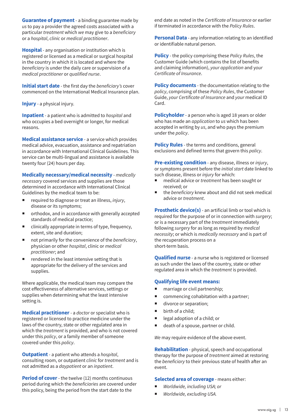**Guarantee of payment** - a binding guarantee made by *us* to pay a provider the agreed costs associated with a particular *treatment* which *we* may give to a *beneficiary* or a *hospital*, *clinic* or *medical practitioner*.

**Hospital** - any organisation or institution which is registered or licensed as a medical or surgical hospital in the country in which it is located and where the *beneficiary* is under the daily care or supervision of a *medical practitioner* or *qualified nurse*.

**Initial start date** - the first day the *beneficiary's* cover commenced on the International Medical Insurance plan.

**Injury** - a physical injury.

**Inpatient** - a patient who is admitted to *hospital* and who occupies a bed overnight or longer, for medical reasons.

**Medical assistance service** - a service which provides medical advice, evacuation, assistance and repatriation in accordance with International Clinical Guidelines. This service can be multi-lingual and assistance is available twenty four (24) hours per day.

**Medically necessary/medical necessity** - *medically necessary* covered services and supplies are those determined in accordance with International Clinical Guidelines by the medical team to be:

- required to diagnose or treat an illness, *injury*, disease or its symptoms;
- orthodox, and in accordance with generally accepted standards of medical practice;
- clinically appropriate in terms of type, frequency, extent, site and duration;
- not primarily for the convenience of the *beneficiary*, physician or other *hospital*, clinic or *medical practitioner*; and
- $\blacksquare$  rendered in the least intensive setting that is appropriate for the delivery of the services and supplies.

Where applicable, the medical team may compare the cost effectiveness of alternative services, settings or supplies when determining what the least intensive setting is.

**Medical practitioner** - a *doctor* or specialist who is registered or licensed to practice medicine under the laws of the country, state or other regulated area in which the *treatment* is provided, and who is not covered under this *policy*, or a family member of someone covered under this *policy*.

**Outpatient** - a patient who attends a *hospital*, consulting room, or outpatient *clinic* for *treatment* and is not admitted as a *daypatient* or an *inpatient*.

**Period of cover**- the twelve (12) months continuous period during which the *beneficiaries* are covered under this policy, being the period from the start date to the

end date as noted in the *Certificate of Insurance* or earlier if terminated in accordance with the *Policy Rules*.

**Personal Data** - any information relating to an identified or identifiable natural person.

**Policy** - the policy comprising these *Policy Rules*, the Customer Guide (which contains the list of benefits and claiming information), *your application* and y*our Certificate of Insurance*.

**Policy documents** - the documentation relating to the *policy*, comprising of these *Policy Rules*, the Customer Guide, *your Certificate of Insurance* and *your* medical ID Card.

**Policyholder** - a person who is aged 18 years or older who has made an *application* to *us* which has been accepted in writing by *us*, and who pays the premium under the *policy*.

**Policy Rules** - the terms and conditions, general exclusions and defined terms that govern this *policy*.

**Pre-existing condition** - any disease, illness or *injury*, or symptoms present before the *initial start* date linked to such disease, illness or *injury* for which:

- medical advice or *treatment* has been sought or received; or
- the *beneficiary* knew about and did not seek medical advice or *treatment*.

**Prosthetic device(s)** - an artificial limb or tool which is required for the purpose of or in connection with *surgery*; or is a necessary part of the *treatment* immediately following *surgery* for as long as required by *medical necessity*; or which is *medically necessary* and is part of the recuperation process on a short-term basis.

**Qualified nurse** - a nurse who is registered or licensed as such under the laws of the country, state or other regulated area in which the *treatment* is provided.

#### **Qualifying life event means:**

- marriage or civil partnership;
- commencing cohabitation with a partner;
- divorce or separation;
- $\blacksquare$  birth of a child;
- egal adoption of a child; or
- death of a spouse, partner or child.

*We* may require evidence of the above event.

**Rehabilitation** - physical, speech and occupational therapy for the purpose of *treatment* aimed at restoring the *beneficiary* to their previous state of health after an event.

#### **Selected area of coverage** - means either:

- *Worldwide, including USA; or*
- *Worldwide, excluding USA.*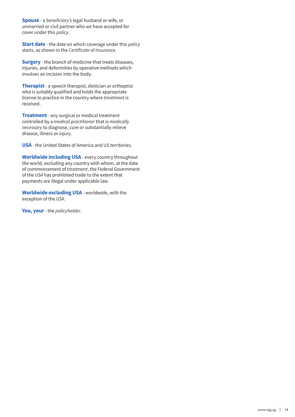**Spouse** - a *beneficiary's* legal husband or wife, or unmarried or civil partner who *we* have accepted for cover under this *policy*.

**Start date** - the date on which coverage under this *policy* starts, as shown in the *Certificate of Insurance*.

**Surgery** - the branch of medicine that treats diseases, injuries, and deformities by operative methods which involves an incision into the body.

**Therapist** - a speech therapist, dietician or orthoptist who is suitably qualified and holds the appropriate license to practice in the country where *treatment* is received.

**Treatment** - any surgical or medical treatment controlled by a *medical practitioner* that is *medically necessary* to diagnose, cure or substantially relieve disease, illness or *injury*.

**USA** - the United States of America and US territories.

**Worldwide including USA** - every country throughout the world, excluding any country with whom, at the date of commencement of *treatment*, the Federal Government of the *USA* has prohibited trade to the extent that payments are illegal under applicable law.

**Worldwide excluding USA** - worldwide, with the exception of the *USA*.

**You, your** - the *policyholder*.